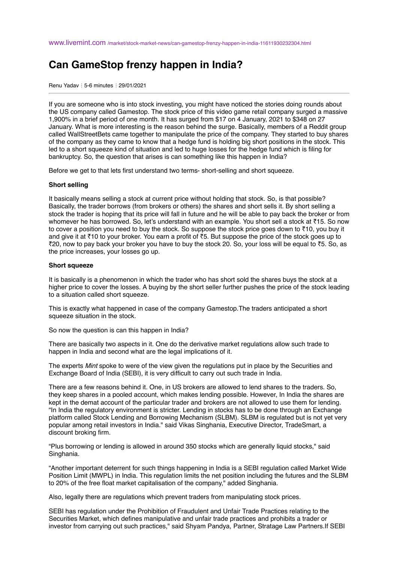## **Can GameStop frenzy happen in India?**

Renu Yadav ⋮ 5-6 minutes ⋮ 29/01/2021

If you are someone who is into stock investing, you might have noticed the stories doing rounds about the US company called Gamestop. The stock price of this video game retail company surged a massive 1,900% in a brief period of one month. It has surged from \$17 on 4 January, 2021 to \$348 on 27 January. What is more interesting is the reason behind the surge. Basically, members of a Reddit group called WallStreetBets came together to manipulate the price of the company. They started to buy shares of the company as they came to know that a hedge fund is holding big short positions in the stock. This led to a short squeeze kind of situation and led to huge losses for the hedge fund which is filing for bankruptcy. So, the question that arises is can something like this happen in India?

Before we get to that lets first understand two terms- short-selling and short squeeze.

## **Short selling**

It basically means selling a stock at current price without holding that stock. So, is that possible? Basically, the trader borrows (from brokers or others) the shares and short sells it. By short selling a stock the trader is hoping that its price will fall in future and he will be able to pay back the broker or from whomever he has borrowed. So, let's understand with an example. You short sell a stock at ₹15. So now to cover a position you need to buy the stock. So suppose the stock price goes down to ₹10, you buy it and give it at ₹10 to your broker. You earn a profit of ₹5. But suppose the price of the stock goes up to ₹20, now to pay back your broker you have to buy the stock 20. So, your loss will be equal to ₹5. So, as the price increases, your losses go up.

## **Short squeeze**

It is basically is a phenomenon in which the trader who has short sold the shares buys the stock at a higher price to cover the losses. A buying by the short seller further pushes the price of the stock leading to a situation called short squeeze.

This is exactly what happened in case of the company Gamestop.The traders anticipated a short squeeze situation in the stock.

So now the question is can this happen in India?

There are basically two aspects in it. One do the derivative market regulations allow such trade to happen in India and second what are the legal implications of it.

The experts *Mint* spoke to were of the view given the regulations put in place by the Securities and Exchange Board of India (SEBI), it is very difficult to carry out such trade in India.

There are a few reasons behind it. One, in US brokers are allowed to lend shares to the traders. So, they keep shares in a pooled account, which makes lending possible. However, In India the shares are kept in the demat account of the particular trader and brokers are not allowed to use them for lending. "In India the regulatory environment is stricter. Lending in stocks has to be done through an Exchange platform called Stock Lending and Borrowing Mechanism (SLBM). SLBM is regulated but is not yet very popular among retail investors in India." said Vikas Singhania, Executive Director, TradeSmart, a discount broking firm.

"Plus borrowing or lending is allowed in around 350 stocks which are generally liquid stocks," said Singhania.

"Another important deterrent for such things happening in India is a SEBI regulation called Market Wide Position Limit (MWPL) in India. This regulation limits the net position including the futures and the SLBM to 20% of the free float market capitalisation of the company," added Singhania.

Also, legally there are regulations which prevent traders from manipulating stock prices.

SEBI has regulation under the Prohibition of Fraudulent and Unfair Trade Practices relating to the Securities Market, which defines manipulative and unfair trade practices and prohibits a trader or investor from carrying out such practices," said Shyam Pandya, Partner, Stratage Law Partners.If SEBI